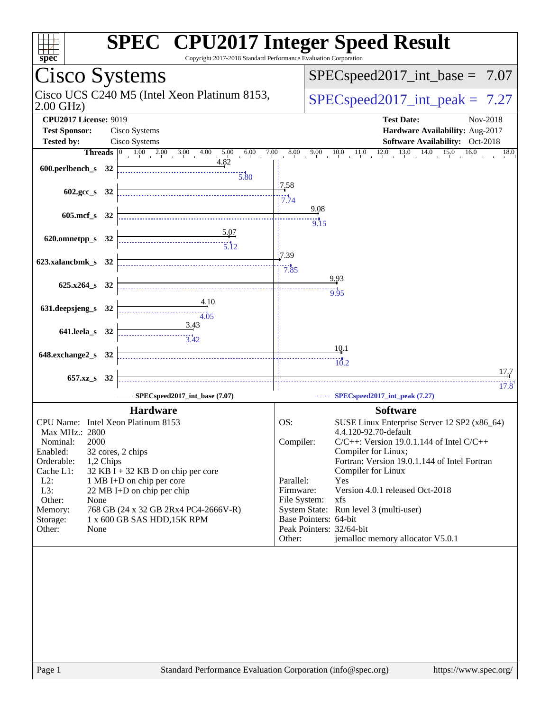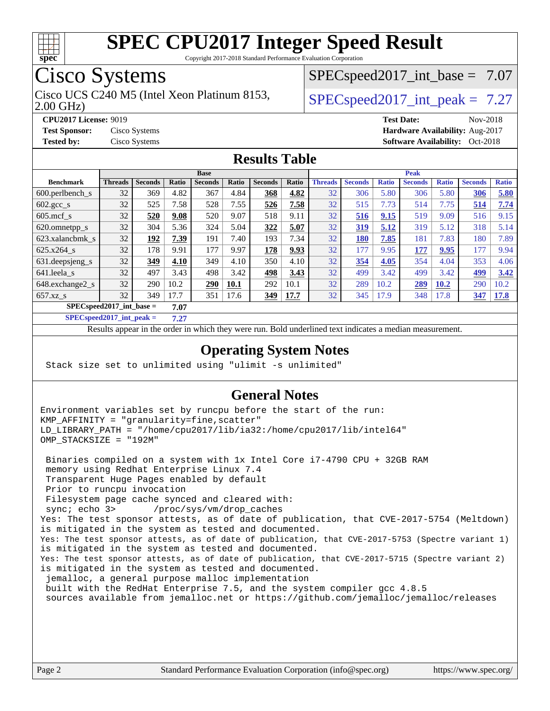

Copyright 2017-2018 Standard Performance Evaluation Corporation

## Cisco Systems

2.00 GHz) Cisco UCS C240 M5 (Intel Xeon Platinum 8153,  $\vert$  [SPECspeed2017\\_int\\_peak =](http://www.spec.org/auto/cpu2017/Docs/result-fields.html#SPECspeed2017intpeak) 7.27

 $SPECspeed2017\_int\_base = 7.07$ 

**[CPU2017 License:](http://www.spec.org/auto/cpu2017/Docs/result-fields.html#CPU2017License)** 9019 **[Test Date:](http://www.spec.org/auto/cpu2017/Docs/result-fields.html#TestDate)** Nov-2018 **[Test Sponsor:](http://www.spec.org/auto/cpu2017/Docs/result-fields.html#TestSponsor)** Cisco Systems **[Hardware Availability:](http://www.spec.org/auto/cpu2017/Docs/result-fields.html#HardwareAvailability)** Aug-2017 **[Tested by:](http://www.spec.org/auto/cpu2017/Docs/result-fields.html#Testedby)** Cisco Systems **Cisco Systems [Software Availability:](http://www.spec.org/auto/cpu2017/Docs/result-fields.html#SoftwareAvailability)** Oct-2018

#### **[Results Table](http://www.spec.org/auto/cpu2017/Docs/result-fields.html#ResultsTable)**

|                                      | <b>Base</b>    |                |       |                |       |                |       | <b>Peak</b>    |                |              |                |              |                |              |
|--------------------------------------|----------------|----------------|-------|----------------|-------|----------------|-------|----------------|----------------|--------------|----------------|--------------|----------------|--------------|
| <b>Benchmark</b>                     | <b>Threads</b> | <b>Seconds</b> | Ratio | <b>Seconds</b> | Ratio | <b>Seconds</b> | Ratio | <b>Threads</b> | <b>Seconds</b> | <b>Ratio</b> | <b>Seconds</b> | <b>Ratio</b> | <b>Seconds</b> | <b>Ratio</b> |
| 600.perlbench s                      | 32             | 369            | 4.82  | 367            | 4.84  | 368            | 4.82  | 32             | 306            | 5.80         | 306            | 5.80         | 306            | 5.80         |
| $602.\text{gcc}\s$                   | 32             | 525            | 7.58  | 528            | 7.55  | 526            | 7.58  | 32             | 515            | 7.73         | 514            | 7.75         | 514            | 7.74         |
| $605$ .mcf s                         | 32             | 520            | 9.08  | 520            | 9.07  | 518            | 9.11  | 32             | 516            | 9.15         | 519            | 9.09         | 516            | 9.15         |
| 620.omnetpp_s                        | 32             | 304            | 5.36  | 324            | 5.04  | 322            | 5.07  | 32             | 319            | 5.12         | 319            | 5.12         | 318            | 5.14         |
| 623.xalancbmk s                      | 32             | 192            | 7.39  | 191            | 7.40  | 193            | 7.34  | 32             | 180            | 7.85         | 181            | 7.83         | 180            | 7.89         |
| 625.x264 s                           | 32             | 178            | 9.91  | 177            | 9.97  | 178            | 9.93  | 32             | 177            | 9.95         | 177            | 9.95         | 177            | 9.94         |
| 631.deepsjeng_s                      | 32             | 349            | 4.10  | 349            | 4.10  | 350            | 4.10  | 32             | 354            | 4.05         | 354            | 4.04         | 353            | 4.06         |
| 641.leela s                          | 32             | 497            | 3.43  | 498            | 3.42  | 498            | 3.43  | 32             | 499            | 3.42         | 499            | 3.42         | 499            | 3.42         |
| 648.exchange2_s                      | 32             | 290            | 10.2  | 290            | 10.1  | 292            | 10.1  | 32             | 289            | 10.2         | 289            | 10.2         | 290            | 10.2         |
| $657.xz$ s                           | 32             | 349            | 17.7  | 351            | 17.6  | 349            | 17.7  | 32             | 345            | 17.9         | 348            | 17.8         | 347            | 17.8         |
| $SPECspeed2017\_int\_base =$<br>7.07 |                |                |       |                |       |                |       |                |                |              |                |              |                |              |

**[SPECspeed2017\\_int\\_peak =](http://www.spec.org/auto/cpu2017/Docs/result-fields.html#SPECspeed2017intpeak) 7.27**

Results appear in the [order in which they were run.](http://www.spec.org/auto/cpu2017/Docs/result-fields.html#RunOrder) Bold underlined text [indicates a median measurement](http://www.spec.org/auto/cpu2017/Docs/result-fields.html#Median).

#### **[Operating System Notes](http://www.spec.org/auto/cpu2017/Docs/result-fields.html#OperatingSystemNotes)**

Stack size set to unlimited using "ulimit -s unlimited"

#### **[General Notes](http://www.spec.org/auto/cpu2017/Docs/result-fields.html#GeneralNotes)**

Environment variables set by runcpu before the start of the run: KMP\_AFFINITY = "granularity=fine,scatter" LD\_LIBRARY\_PATH = "/home/cpu2017/lib/ia32:/home/cpu2017/lib/intel64" OMP\_STACKSIZE = "192M"

 Binaries compiled on a system with 1x Intel Core i7-4790 CPU + 32GB RAM memory using Redhat Enterprise Linux 7.4 Transparent Huge Pages enabled by default Prior to runcpu invocation Filesystem page cache synced and cleared with: sync; echo 3> /proc/sys/vm/drop\_caches Yes: The test sponsor attests, as of date of publication, that CVE-2017-5754 (Meltdown) is mitigated in the system as tested and documented. Yes: The test sponsor attests, as of date of publication, that CVE-2017-5753 (Spectre variant 1) is mitigated in the system as tested and documented. Yes: The test sponsor attests, as of date of publication, that CVE-2017-5715 (Spectre variant 2) is mitigated in the system as tested and documented. jemalloc, a general purpose malloc implementation built with the RedHat Enterprise 7.5, and the system compiler gcc 4.8.5 sources available from jemalloc.net or<https://github.com/jemalloc/jemalloc/releases>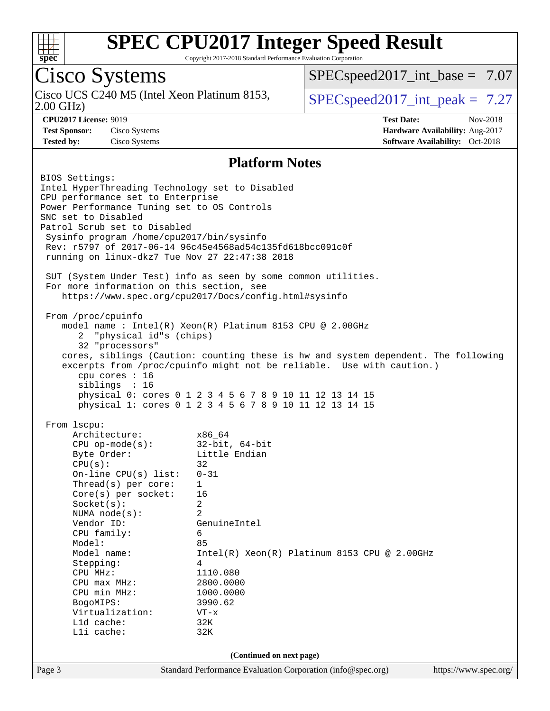

Copyright 2017-2018 Standard Performance Evaluation Corporation

## Cisco Systems

2.00 GHz) Cisco UCS C240 M5 (Intel Xeon Platinum 8153,  $\vert$  [SPECspeed2017\\_int\\_peak =](http://www.spec.org/auto/cpu2017/Docs/result-fields.html#SPECspeed2017intpeak) 7.27

 $SPECspeed2017\_int\_base = 7.07$ 

**[CPU2017 License:](http://www.spec.org/auto/cpu2017/Docs/result-fields.html#CPU2017License)** 9019 **[Test Date:](http://www.spec.org/auto/cpu2017/Docs/result-fields.html#TestDate)** Nov-2018 **[Test Sponsor:](http://www.spec.org/auto/cpu2017/Docs/result-fields.html#TestSponsor)** Cisco Systems **[Hardware Availability:](http://www.spec.org/auto/cpu2017/Docs/result-fields.html#HardwareAvailability)** Aug-2017 **[Tested by:](http://www.spec.org/auto/cpu2017/Docs/result-fields.html#Testedby)** Cisco Systems **[Software Availability:](http://www.spec.org/auto/cpu2017/Docs/result-fields.html#SoftwareAvailability)** Oct-2018

#### **[Platform Notes](http://www.spec.org/auto/cpu2017/Docs/result-fields.html#PlatformNotes)**

Page 3 Standard Performance Evaluation Corporation [\(info@spec.org\)](mailto:info@spec.org) <https://www.spec.org/> BIOS Settings: Intel HyperThreading Technology set to Disabled CPU performance set to Enterprise Power Performance Tuning set to OS Controls SNC set to Disabled Patrol Scrub set to Disabled Sysinfo program /home/cpu2017/bin/sysinfo Rev: r5797 of 2017-06-14 96c45e4568ad54c135fd618bcc091c0f running on linux-dkz7 Tue Nov 27 22:47:38 2018 SUT (System Under Test) info as seen by some common utilities. For more information on this section, see <https://www.spec.org/cpu2017/Docs/config.html#sysinfo> From /proc/cpuinfo model name : Intel(R) Xeon(R) Platinum 8153 CPU @ 2.00GHz 2 "physical id"s (chips) 32 "processors" cores, siblings (Caution: counting these is hw and system dependent. The following excerpts from /proc/cpuinfo might not be reliable. Use with caution.) cpu cores : 16 siblings : 16 physical 0: cores 0 1 2 3 4 5 6 7 8 9 10 11 12 13 14 15 physical 1: cores 0 1 2 3 4 5 6 7 8 9 10 11 12 13 14 15 From lscpu: Architecture: x86\_64 CPU op-mode(s): 32-bit, 64-bit Byte Order: Little Endian  $CPU(s):$  32 On-line CPU(s) list: 0-31 Thread(s) per core: 1 Core(s) per socket: 16 Socket(s): 2 NUMA node(s): 2 Vendor ID: GenuineIntel CPU family: 6 Model: 85 Model name: Intel(R) Xeon(R) Platinum 8153 CPU @ 2.00GHz Stepping: 4 CPU MHz: 1110.080 CPU max MHz: 2800.0000<br>
CPU min MHz: 1000.0000 CPU min MHz: 1000.0000 BogoMIPS: 3990.62 Virtualization: VT-x L1d cache: 32K L1i cache: 32K **(Continued on next page)**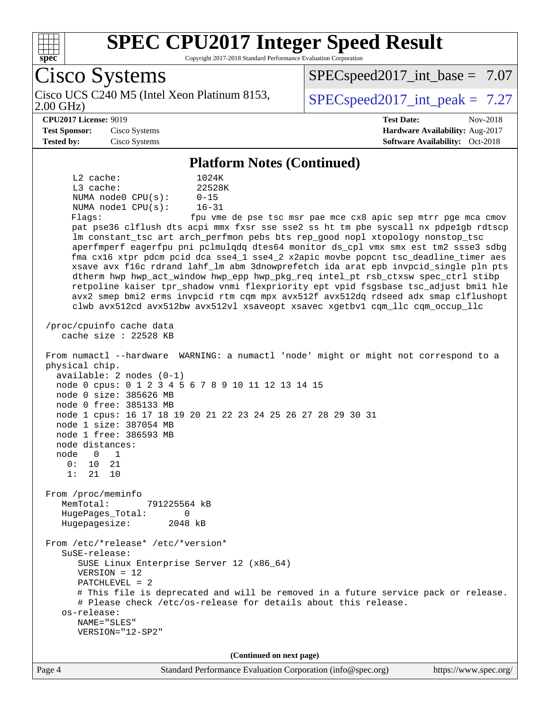

Copyright 2017-2018 Standard Performance Evaluation Corporation

Cisco Systems 2.00 GHz) Cisco UCS C240 M5 (Intel Xeon Platinum 8153,  $\vert$  [SPECspeed2017\\_int\\_peak =](http://www.spec.org/auto/cpu2017/Docs/result-fields.html#SPECspeed2017intpeak) 7.27  $SPECspeed2017\_int\_base = 7.07$ **[CPU2017 License:](http://www.spec.org/auto/cpu2017/Docs/result-fields.html#CPU2017License)** 9019 **[Test Date:](http://www.spec.org/auto/cpu2017/Docs/result-fields.html#TestDate)** Nov-2018 **[Test Sponsor:](http://www.spec.org/auto/cpu2017/Docs/result-fields.html#TestSponsor)** Cisco Systems **[Hardware Availability:](http://www.spec.org/auto/cpu2017/Docs/result-fields.html#HardwareAvailability)** Aug-2017 **[Tested by:](http://www.spec.org/auto/cpu2017/Docs/result-fields.html#Testedby)** Cisco Systems **[Software Availability:](http://www.spec.org/auto/cpu2017/Docs/result-fields.html#SoftwareAvailability)** Oct-2018 **[Platform Notes \(Continued\)](http://www.spec.org/auto/cpu2017/Docs/result-fields.html#PlatformNotes)** L2 cache: 1024K L3 cache: 22528K NUMA node0 CPU(s): 0-15 NUMA node1 CPU(s): 16-31 Flags: fpu vme de pse tsc msr pae mce cx8 apic sep mtrr pge mca cmov pat pse36 clflush dts acpi mmx fxsr sse sse2 ss ht tm pbe syscall nx pdpe1gb rdtscp lm constant\_tsc art arch\_perfmon pebs bts rep\_good nopl xtopology nonstop\_tsc aperfmperf eagerfpu pni pclmulqdq dtes64 monitor ds\_cpl vmx smx est tm2 ssse3 sdbg fma cx16 xtpr pdcm pcid dca sse4\_1 sse4\_2 x2apic movbe popcnt tsc\_deadline\_timer aes xsave avx f16c rdrand lahf\_lm abm 3dnowprefetch ida arat epb invpcid\_single pln pts dtherm hwp hwp\_act\_window hwp\_epp hwp\_pkg\_req intel\_pt rsb\_ctxsw spec\_ctrl stibp retpoline kaiser tpr\_shadow vnmi flexpriority ept vpid fsgsbase tsc\_adjust bmi1 hle avx2 smep bmi2 erms invpcid rtm cqm mpx avx512f avx512dq rdseed adx smap clflushopt clwb avx512cd avx512bw avx512vl xsaveopt xsavec xgetbv1 cqm\_llc cqm\_occup\_llc /proc/cpuinfo cache data cache size : 22528 KB From numactl --hardware WARNING: a numactl 'node' might or might not correspond to a physical chip. available: 2 nodes (0-1) node 0 cpus: 0 1 2 3 4 5 6 7 8 9 10 11 12 13 14 15 node 0 size: 385626 MB node 0 free: 385133 MB node 1 cpus: 16 17 18 19 20 21 22 23 24 25 26 27 28 29 30 31 node 1 size: 387054 MB node 1 free: 386593 MB node distances: node 0 1 0: 10 21 1: 21 10 From /proc/meminfo MemTotal: 791225564 kB HugePages\_Total: 0 Hugepagesize: 2048 kB From /etc/\*release\* /etc/\*version\* SuSE-release: SUSE Linux Enterprise Server 12 (x86\_64) VERSION = 12 PATCHLEVEL = 2 # This file is deprecated and will be removed in a future service pack or release. # Please check /etc/os-release for details about this release. os-release: NAME="SLES" VERSION="12-SP2" **(Continued on next page)**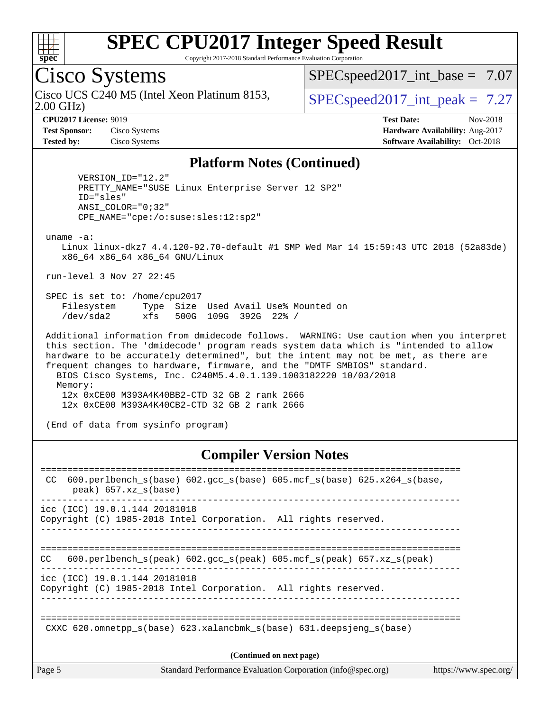

Copyright 2017-2018 Standard Performance Evaluation Corporation

## Cisco Systems

2.00 GHz) Cisco UCS C240 M5 (Intel Xeon Platinum 8153,  $\vert$  [SPECspeed2017\\_int\\_peak =](http://www.spec.org/auto/cpu2017/Docs/result-fields.html#SPECspeed2017intpeak) 7.27

 $SPECspeed2017\_int\_base = 7.07$ 

**[CPU2017 License:](http://www.spec.org/auto/cpu2017/Docs/result-fields.html#CPU2017License)** 9019 **[Test Date:](http://www.spec.org/auto/cpu2017/Docs/result-fields.html#TestDate)** Nov-2018 **[Test Sponsor:](http://www.spec.org/auto/cpu2017/Docs/result-fields.html#TestSponsor)** Cisco Systems **[Hardware Availability:](http://www.spec.org/auto/cpu2017/Docs/result-fields.html#HardwareAvailability)** Aug-2017 **[Tested by:](http://www.spec.org/auto/cpu2017/Docs/result-fields.html#Testedby)** Cisco Systems **Cisco Systems [Software Availability:](http://www.spec.org/auto/cpu2017/Docs/result-fields.html#SoftwareAvailability)** Oct-2018

#### **[Platform Notes \(Continued\)](http://www.spec.org/auto/cpu2017/Docs/result-fields.html#PlatformNotes)**

 VERSION\_ID="12.2" PRETTY\_NAME="SUSE Linux Enterprise Server 12 SP2" ID="sles" ANSI\_COLOR="0;32" CPE\_NAME="cpe:/o:suse:sles:12:sp2"

uname -a:

 Linux linux-dkz7 4.4.120-92.70-default #1 SMP Wed Mar 14 15:59:43 UTC 2018 (52a83de) x86\_64 x86\_64 x86\_64 GNU/Linux

run-level 3 Nov 27 22:45

 SPEC is set to: /home/cpu2017 Filesystem Type Size Used Avail Use% Mounted on /dev/sda2 xfs 500G 109G 392G 22% /

 Additional information from dmidecode follows. WARNING: Use caution when you interpret this section. The 'dmidecode' program reads system data which is "intended to allow hardware to be accurately determined", but the intent may not be met, as there are frequent changes to hardware, firmware, and the "DMTF SMBIOS" standard. BIOS Cisco Systems, Inc. C240M5.4.0.1.139.1003182220 10/03/2018 Memory: 12x 0xCE00 M393A4K40BB2-CTD 32 GB 2 rank 2666 12x 0xCE00 M393A4K40CB2-CTD 32 GB 2 rank 2666

(End of data from sysinfo program)

#### **[Compiler Version Notes](http://www.spec.org/auto/cpu2017/Docs/result-fields.html#CompilerVersionNotes)**

| Page 5 | Standard Performance Evaluation Corporation (info@spec.org)<br>https://www.spec.org/                         |
|--------|--------------------------------------------------------------------------------------------------------------|
|        | (Continued on next page)                                                                                     |
|        | CXXC 620.omnetpp $s(base)$ 623.xalancbmk $s(base)$ 631.deepsjeng $s(base)$                                   |
|        | icc (ICC) 19.0.1.144 20181018<br>Copyright (C) 1985-2018 Intel Corporation. All rights reserved.             |
| CC.    | 600.perlbench_s(peak) 602.gcc_s(peak) 605.mcf_s(peak) 657.xz_s(peak)                                         |
|        | icc (ICC) 19.0.1.144 20181018<br>Copyright (C) 1985-2018 Intel Corporation. All rights reserved.             |
| CC.    | 600.perlbench $s(base)$ 602.gcc $s(base)$ 605.mcf $s(base)$ 625.x264 $s(base)$ ,<br>$peak)$ 657.xz $s(base)$ |
|        |                                                                                                              |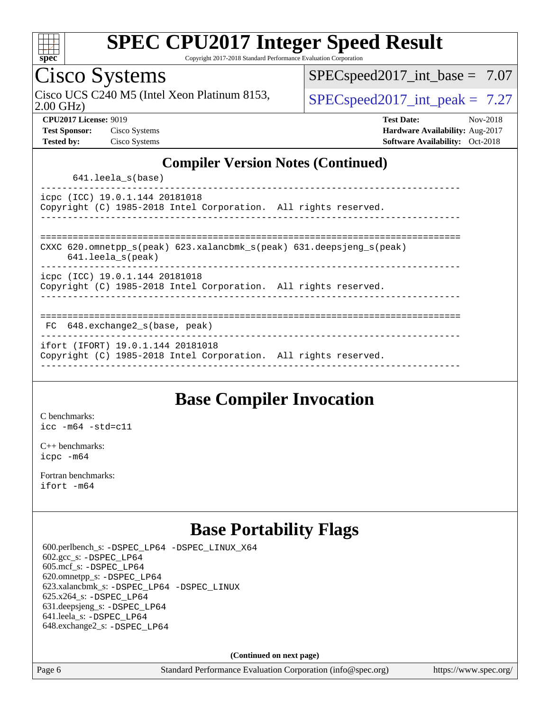

Copyright 2017-2018 Standard Performance Evaluation Corporation

## Cisco Systems

2.00 GHz) Cisco UCS C240 M5 (Intel Xeon Platinum 8153,  $\vert$  [SPECspeed2017\\_int\\_peak =](http://www.spec.org/auto/cpu2017/Docs/result-fields.html#SPECspeed2017intpeak) 7.27

 $SPECspeed2017\_int\_base = 7.07$ 

**[CPU2017 License:](http://www.spec.org/auto/cpu2017/Docs/result-fields.html#CPU2017License)** 9019 **[Test Date:](http://www.spec.org/auto/cpu2017/Docs/result-fields.html#TestDate)** Nov-2018 **[Test Sponsor:](http://www.spec.org/auto/cpu2017/Docs/result-fields.html#TestSponsor)** Cisco Systems **[Hardware Availability:](http://www.spec.org/auto/cpu2017/Docs/result-fields.html#HardwareAvailability)** Aug-2017 **[Tested by:](http://www.spec.org/auto/cpu2017/Docs/result-fields.html#Testedby)** Cisco Systems **Cisco Systems [Software Availability:](http://www.spec.org/auto/cpu2017/Docs/result-fields.html#SoftwareAvailability)** Oct-2018

#### **[Compiler Version Notes \(Continued\)](http://www.spec.org/auto/cpu2017/Docs/result-fields.html#CompilerVersionNotes)**

641.leela\_s(base)

----------------------------------------------------------------------------- icpc (ICC) 19.0.1.144 20181018 Copyright (C) 1985-2018 Intel Corporation. All rights reserved. ------------------------------------------------------------------------------

============================================================================== CXXC 620.omnetpp\_s(peak) 623.xalancbmk\_s(peak) 631.deepsjeng\_s(peak)

641.leela\_s(peak)

------------------------------------------------------------------------------

icpc (ICC) 19.0.1.144 20181018 Copyright (C) 1985-2018 Intel Corporation. All rights reserved.

------------------------------------------------------------------------------

#### ==============================================================================

 FC 648.exchange2\_s(base, peak) ------------------------------------------------------------------------------

ifort (IFORT) 19.0.1.144 20181018

Copyright (C) 1985-2018 Intel Corporation. All rights reserved. ------------------------------------------------------------------------------

#### **[Base Compiler Invocation](http://www.spec.org/auto/cpu2017/Docs/result-fields.html#BaseCompilerInvocation)**

[C benchmarks](http://www.spec.org/auto/cpu2017/Docs/result-fields.html#Cbenchmarks): [icc -m64 -std=c11](http://www.spec.org/cpu2017/results/res2018q4/cpu2017-20181211-10231.flags.html#user_CCbase_intel_icc_64bit_c11_33ee0cdaae7deeeab2a9725423ba97205ce30f63b9926c2519791662299b76a0318f32ddfffdc46587804de3178b4f9328c46fa7c2b0cd779d7a61945c91cd35)

[C++ benchmarks:](http://www.spec.org/auto/cpu2017/Docs/result-fields.html#CXXbenchmarks) [icpc -m64](http://www.spec.org/cpu2017/results/res2018q4/cpu2017-20181211-10231.flags.html#user_CXXbase_intel_icpc_64bit_4ecb2543ae3f1412ef961e0650ca070fec7b7afdcd6ed48761b84423119d1bf6bdf5cad15b44d48e7256388bc77273b966e5eb805aefd121eb22e9299b2ec9d9)

[Fortran benchmarks](http://www.spec.org/auto/cpu2017/Docs/result-fields.html#Fortranbenchmarks): [ifort -m64](http://www.spec.org/cpu2017/results/res2018q4/cpu2017-20181211-10231.flags.html#user_FCbase_intel_ifort_64bit_24f2bb282fbaeffd6157abe4f878425411749daecae9a33200eee2bee2fe76f3b89351d69a8130dd5949958ce389cf37ff59a95e7a40d588e8d3a57e0c3fd751)

### **[Base Portability Flags](http://www.spec.org/auto/cpu2017/Docs/result-fields.html#BasePortabilityFlags)**

 600.perlbench\_s: [-DSPEC\\_LP64](http://www.spec.org/cpu2017/results/res2018q4/cpu2017-20181211-10231.flags.html#b600.perlbench_s_basePORTABILITY_DSPEC_LP64) [-DSPEC\\_LINUX\\_X64](http://www.spec.org/cpu2017/results/res2018q4/cpu2017-20181211-10231.flags.html#b600.perlbench_s_baseCPORTABILITY_DSPEC_LINUX_X64) 602.gcc\_s: [-DSPEC\\_LP64](http://www.spec.org/cpu2017/results/res2018q4/cpu2017-20181211-10231.flags.html#suite_basePORTABILITY602_gcc_s_DSPEC_LP64) 605.mcf\_s: [-DSPEC\\_LP64](http://www.spec.org/cpu2017/results/res2018q4/cpu2017-20181211-10231.flags.html#suite_basePORTABILITY605_mcf_s_DSPEC_LP64) 620.omnetpp\_s: [-DSPEC\\_LP64](http://www.spec.org/cpu2017/results/res2018q4/cpu2017-20181211-10231.flags.html#suite_basePORTABILITY620_omnetpp_s_DSPEC_LP64) 623.xalancbmk\_s: [-DSPEC\\_LP64](http://www.spec.org/cpu2017/results/res2018q4/cpu2017-20181211-10231.flags.html#suite_basePORTABILITY623_xalancbmk_s_DSPEC_LP64) [-DSPEC\\_LINUX](http://www.spec.org/cpu2017/results/res2018q4/cpu2017-20181211-10231.flags.html#b623.xalancbmk_s_baseCXXPORTABILITY_DSPEC_LINUX) 625.x264\_s: [-DSPEC\\_LP64](http://www.spec.org/cpu2017/results/res2018q4/cpu2017-20181211-10231.flags.html#suite_basePORTABILITY625_x264_s_DSPEC_LP64) 631.deepsjeng\_s: [-DSPEC\\_LP64](http://www.spec.org/cpu2017/results/res2018q4/cpu2017-20181211-10231.flags.html#suite_basePORTABILITY631_deepsjeng_s_DSPEC_LP64) 641.leela\_s: [-DSPEC\\_LP64](http://www.spec.org/cpu2017/results/res2018q4/cpu2017-20181211-10231.flags.html#suite_basePORTABILITY641_leela_s_DSPEC_LP64) 648.exchange2\_s: [-DSPEC\\_LP64](http://www.spec.org/cpu2017/results/res2018q4/cpu2017-20181211-10231.flags.html#suite_basePORTABILITY648_exchange2_s_DSPEC_LP64)

**(Continued on next page)**

Page 6 Standard Performance Evaluation Corporation [\(info@spec.org\)](mailto:info@spec.org) <https://www.spec.org/>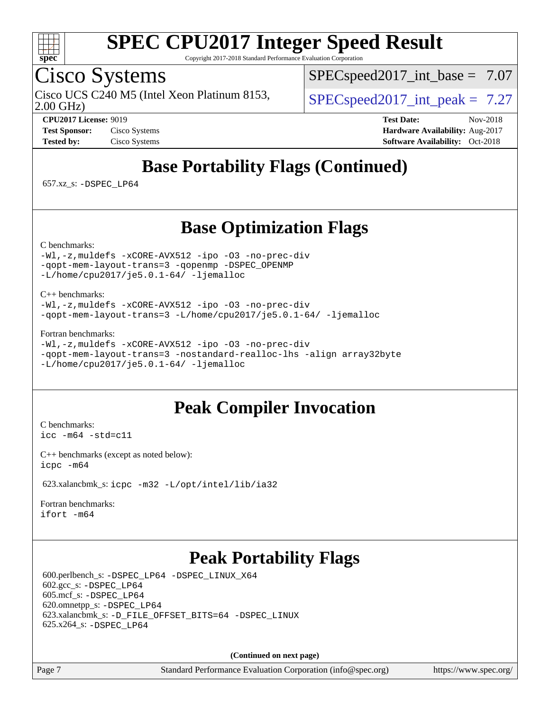

Copyright 2017-2018 Standard Performance Evaluation Corporation

### Cisco Systems

Cisco UCS C240 M5 (Intel Xeon Platinum 8153,  $\vert$  [SPECspeed2017\\_int\\_peak =](http://www.spec.org/auto/cpu2017/Docs/result-fields.html#SPECspeed2017intpeak) 7.27

 $SPECspeed2017\_int\_base = 7.07$ 

2.00 GHz)

**[CPU2017 License:](http://www.spec.org/auto/cpu2017/Docs/result-fields.html#CPU2017License)** 9019 **[Test Date:](http://www.spec.org/auto/cpu2017/Docs/result-fields.html#TestDate)** Nov-2018 **[Test Sponsor:](http://www.spec.org/auto/cpu2017/Docs/result-fields.html#TestSponsor)** Cisco Systems **[Hardware Availability:](http://www.spec.org/auto/cpu2017/Docs/result-fields.html#HardwareAvailability)** Aug-2017 **[Tested by:](http://www.spec.org/auto/cpu2017/Docs/result-fields.html#Testedby)** Cisco Systems **[Software Availability:](http://www.spec.org/auto/cpu2017/Docs/result-fields.html#SoftwareAvailability)** Oct-2018

## **[Base Portability Flags \(Continued\)](http://www.spec.org/auto/cpu2017/Docs/result-fields.html#BasePortabilityFlags)**

657.xz\_s: [-DSPEC\\_LP64](http://www.spec.org/cpu2017/results/res2018q4/cpu2017-20181211-10231.flags.html#suite_basePORTABILITY657_xz_s_DSPEC_LP64)

### **[Base Optimization Flags](http://www.spec.org/auto/cpu2017/Docs/result-fields.html#BaseOptimizationFlags)**

[C benchmarks](http://www.spec.org/auto/cpu2017/Docs/result-fields.html#Cbenchmarks):

[-Wl,-z,muldefs](http://www.spec.org/cpu2017/results/res2018q4/cpu2017-20181211-10231.flags.html#user_CCbase_link_force_multiple1_b4cbdb97b34bdee9ceefcfe54f4c8ea74255f0b02a4b23e853cdb0e18eb4525ac79b5a88067c842dd0ee6996c24547a27a4b99331201badda8798ef8a743f577) [-xCORE-AVX512](http://www.spec.org/cpu2017/results/res2018q4/cpu2017-20181211-10231.flags.html#user_CCbase_f-xCORE-AVX512) [-ipo](http://www.spec.org/cpu2017/results/res2018q4/cpu2017-20181211-10231.flags.html#user_CCbase_f-ipo) [-O3](http://www.spec.org/cpu2017/results/res2018q4/cpu2017-20181211-10231.flags.html#user_CCbase_f-O3) [-no-prec-div](http://www.spec.org/cpu2017/results/res2018q4/cpu2017-20181211-10231.flags.html#user_CCbase_f-no-prec-div) [-qopt-mem-layout-trans=3](http://www.spec.org/cpu2017/results/res2018q4/cpu2017-20181211-10231.flags.html#user_CCbase_f-qopt-mem-layout-trans_de80db37974c74b1f0e20d883f0b675c88c3b01e9d123adea9b28688d64333345fb62bc4a798493513fdb68f60282f9a726aa07f478b2f7113531aecce732043) [-qopenmp](http://www.spec.org/cpu2017/results/res2018q4/cpu2017-20181211-10231.flags.html#user_CCbase_qopenmp_16be0c44f24f464004c6784a7acb94aca937f053568ce72f94b139a11c7c168634a55f6653758ddd83bcf7b8463e8028bb0b48b77bcddc6b78d5d95bb1df2967) [-DSPEC\\_OPENMP](http://www.spec.org/cpu2017/results/res2018q4/cpu2017-20181211-10231.flags.html#suite_CCbase_DSPEC_OPENMP) [-L/home/cpu2017/je5.0.1-64/](http://www.spec.org/cpu2017/results/res2018q4/cpu2017-20181211-10231.flags.html#user_CCbase_jemalloc_link_path64_8e927a5f1bdac0405e66c637541874330e08086b5e62a1d024bcf3497e3c64fd173c8afb7d1730d51f6da781ef4c439bdab468bb8364cf71435e0c609fac500c) [-ljemalloc](http://www.spec.org/cpu2017/results/res2018q4/cpu2017-20181211-10231.flags.html#user_CCbase_jemalloc_link_lib_d1249b907c500fa1c0672f44f562e3d0f79738ae9e3c4a9c376d49f265a04b9c99b167ecedbf6711b3085be911c67ff61f150a17b3472be731631ba4d0471706)

[C++ benchmarks:](http://www.spec.org/auto/cpu2017/Docs/result-fields.html#CXXbenchmarks)

[-Wl,-z,muldefs](http://www.spec.org/cpu2017/results/res2018q4/cpu2017-20181211-10231.flags.html#user_CXXbase_link_force_multiple1_b4cbdb97b34bdee9ceefcfe54f4c8ea74255f0b02a4b23e853cdb0e18eb4525ac79b5a88067c842dd0ee6996c24547a27a4b99331201badda8798ef8a743f577) [-xCORE-AVX512](http://www.spec.org/cpu2017/results/res2018q4/cpu2017-20181211-10231.flags.html#user_CXXbase_f-xCORE-AVX512) [-ipo](http://www.spec.org/cpu2017/results/res2018q4/cpu2017-20181211-10231.flags.html#user_CXXbase_f-ipo) [-O3](http://www.spec.org/cpu2017/results/res2018q4/cpu2017-20181211-10231.flags.html#user_CXXbase_f-O3) [-no-prec-div](http://www.spec.org/cpu2017/results/res2018q4/cpu2017-20181211-10231.flags.html#user_CXXbase_f-no-prec-div) [-qopt-mem-layout-trans=3](http://www.spec.org/cpu2017/results/res2018q4/cpu2017-20181211-10231.flags.html#user_CXXbase_f-qopt-mem-layout-trans_de80db37974c74b1f0e20d883f0b675c88c3b01e9d123adea9b28688d64333345fb62bc4a798493513fdb68f60282f9a726aa07f478b2f7113531aecce732043) [-L/home/cpu2017/je5.0.1-64/](http://www.spec.org/cpu2017/results/res2018q4/cpu2017-20181211-10231.flags.html#user_CXXbase_jemalloc_link_path64_8e927a5f1bdac0405e66c637541874330e08086b5e62a1d024bcf3497e3c64fd173c8afb7d1730d51f6da781ef4c439bdab468bb8364cf71435e0c609fac500c) [-ljemalloc](http://www.spec.org/cpu2017/results/res2018q4/cpu2017-20181211-10231.flags.html#user_CXXbase_jemalloc_link_lib_d1249b907c500fa1c0672f44f562e3d0f79738ae9e3c4a9c376d49f265a04b9c99b167ecedbf6711b3085be911c67ff61f150a17b3472be731631ba4d0471706)

[Fortran benchmarks](http://www.spec.org/auto/cpu2017/Docs/result-fields.html#Fortranbenchmarks):

```
-Wl,-z,muldefs -xCORE-AVX512 -ipo -O3 -no-prec-div
-qopt-mem-layout-trans=3 -nostandard-realloc-lhs -align array32byte
-L/home/cpu2017/je5.0.1-64/ -ljemalloc
```
### **[Peak Compiler Invocation](http://www.spec.org/auto/cpu2017/Docs/result-fields.html#PeakCompilerInvocation)**

[C benchmarks](http://www.spec.org/auto/cpu2017/Docs/result-fields.html#Cbenchmarks): [icc -m64 -std=c11](http://www.spec.org/cpu2017/results/res2018q4/cpu2017-20181211-10231.flags.html#user_CCpeak_intel_icc_64bit_c11_33ee0cdaae7deeeab2a9725423ba97205ce30f63b9926c2519791662299b76a0318f32ddfffdc46587804de3178b4f9328c46fa7c2b0cd779d7a61945c91cd35)

[C++ benchmarks \(except as noted below\):](http://www.spec.org/auto/cpu2017/Docs/result-fields.html#CXXbenchmarksexceptasnotedbelow) [icpc -m64](http://www.spec.org/cpu2017/results/res2018q4/cpu2017-20181211-10231.flags.html#user_CXXpeak_intel_icpc_64bit_4ecb2543ae3f1412ef961e0650ca070fec7b7afdcd6ed48761b84423119d1bf6bdf5cad15b44d48e7256388bc77273b966e5eb805aefd121eb22e9299b2ec9d9)

623.xalancbmk\_s: [icpc -m32 -L/opt/intel/lib/ia32](http://www.spec.org/cpu2017/results/res2018q4/cpu2017-20181211-10231.flags.html#user_peakCXXLD623_xalancbmk_s_intel_icpc_44eae83c1f565e7e266431f067370024ba26559400a3332485578bf716e23841c734f948145e944e2f4b6f3ce32c2c966ea92b66ca79c6f94f301242c0f554cf)

[Fortran benchmarks](http://www.spec.org/auto/cpu2017/Docs/result-fields.html#Fortranbenchmarks): [ifort -m64](http://www.spec.org/cpu2017/results/res2018q4/cpu2017-20181211-10231.flags.html#user_FCpeak_intel_ifort_64bit_24f2bb282fbaeffd6157abe4f878425411749daecae9a33200eee2bee2fe76f3b89351d69a8130dd5949958ce389cf37ff59a95e7a40d588e8d3a57e0c3fd751)

### **[Peak Portability Flags](http://www.spec.org/auto/cpu2017/Docs/result-fields.html#PeakPortabilityFlags)**

 600.perlbench\_s: [-DSPEC\\_LP64](http://www.spec.org/cpu2017/results/res2018q4/cpu2017-20181211-10231.flags.html#b600.perlbench_s_peakPORTABILITY_DSPEC_LP64) [-DSPEC\\_LINUX\\_X64](http://www.spec.org/cpu2017/results/res2018q4/cpu2017-20181211-10231.flags.html#b600.perlbench_s_peakCPORTABILITY_DSPEC_LINUX_X64) 602.gcc\_s: [-DSPEC\\_LP64](http://www.spec.org/cpu2017/results/res2018q4/cpu2017-20181211-10231.flags.html#suite_peakPORTABILITY602_gcc_s_DSPEC_LP64) 605.mcf\_s: [-DSPEC\\_LP64](http://www.spec.org/cpu2017/results/res2018q4/cpu2017-20181211-10231.flags.html#suite_peakPORTABILITY605_mcf_s_DSPEC_LP64) 620.omnetpp\_s: [-DSPEC\\_LP64](http://www.spec.org/cpu2017/results/res2018q4/cpu2017-20181211-10231.flags.html#suite_peakPORTABILITY620_omnetpp_s_DSPEC_LP64) 623.xalancbmk\_s: [-D\\_FILE\\_OFFSET\\_BITS=64](http://www.spec.org/cpu2017/results/res2018q4/cpu2017-20181211-10231.flags.html#user_peakPORTABILITY623_xalancbmk_s_file_offset_bits_64_5ae949a99b284ddf4e95728d47cb0843d81b2eb0e18bdfe74bbf0f61d0b064f4bda2f10ea5eb90e1dcab0e84dbc592acfc5018bc955c18609f94ddb8d550002c) [-DSPEC\\_LINUX](http://www.spec.org/cpu2017/results/res2018q4/cpu2017-20181211-10231.flags.html#b623.xalancbmk_s_peakCXXPORTABILITY_DSPEC_LINUX) 625.x264\_s: [-DSPEC\\_LP64](http://www.spec.org/cpu2017/results/res2018q4/cpu2017-20181211-10231.flags.html#suite_peakPORTABILITY625_x264_s_DSPEC_LP64)

**(Continued on next page)**

Page 7 Standard Performance Evaluation Corporation [\(info@spec.org\)](mailto:info@spec.org) <https://www.spec.org/>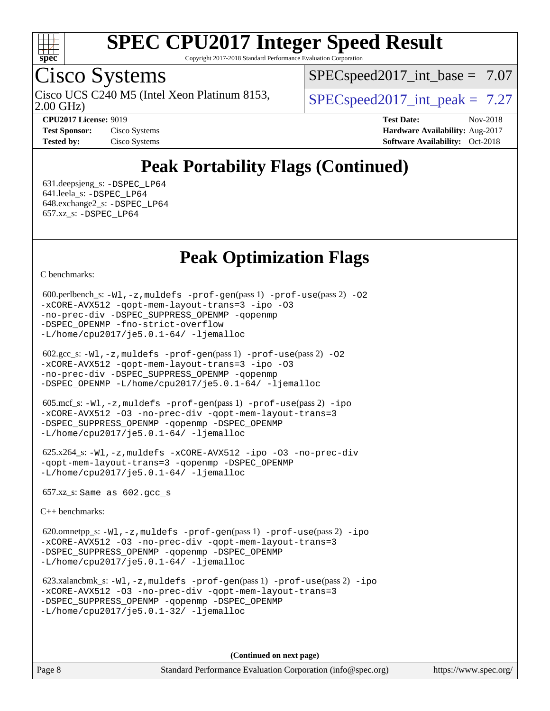

Copyright 2017-2018 Standard Performance Evaluation Corporation

### Cisco Systems

2.00 GHz) Cisco UCS C240 M5 (Intel Xeon Platinum 8153,  $\vert$  [SPECspeed2017\\_int\\_peak =](http://www.spec.org/auto/cpu2017/Docs/result-fields.html#SPECspeed2017intpeak) 7.27

 $SPECspeed2017\_int\_base = 7.07$ 

**[Tested by:](http://www.spec.org/auto/cpu2017/Docs/result-fields.html#Testedby)** Cisco Systems **[Software Availability:](http://www.spec.org/auto/cpu2017/Docs/result-fields.html#SoftwareAvailability)** Oct-2018

**[CPU2017 License:](http://www.spec.org/auto/cpu2017/Docs/result-fields.html#CPU2017License)** 9019 **[Test Date:](http://www.spec.org/auto/cpu2017/Docs/result-fields.html#TestDate)** Nov-2018 **[Test Sponsor:](http://www.spec.org/auto/cpu2017/Docs/result-fields.html#TestSponsor)** Cisco Systems **Cisco Systems [Hardware Availability:](http://www.spec.org/auto/cpu2017/Docs/result-fields.html#HardwareAvailability)** Aug-2017

### **[Peak Portability Flags \(Continued\)](http://www.spec.org/auto/cpu2017/Docs/result-fields.html#PeakPortabilityFlags)**

 631.deepsjeng\_s: [-DSPEC\\_LP64](http://www.spec.org/cpu2017/results/res2018q4/cpu2017-20181211-10231.flags.html#suite_peakPORTABILITY631_deepsjeng_s_DSPEC_LP64) 641.leela\_s: [-DSPEC\\_LP64](http://www.spec.org/cpu2017/results/res2018q4/cpu2017-20181211-10231.flags.html#suite_peakPORTABILITY641_leela_s_DSPEC_LP64) 648.exchange2\_s: [-DSPEC\\_LP64](http://www.spec.org/cpu2017/results/res2018q4/cpu2017-20181211-10231.flags.html#suite_peakPORTABILITY648_exchange2_s_DSPEC_LP64) 657.xz\_s: [-DSPEC\\_LP64](http://www.spec.org/cpu2017/results/res2018q4/cpu2017-20181211-10231.flags.html#suite_peakPORTABILITY657_xz_s_DSPEC_LP64)

### **[Peak Optimization Flags](http://www.spec.org/auto/cpu2017/Docs/result-fields.html#PeakOptimizationFlags)**

[C benchmarks](http://www.spec.org/auto/cpu2017/Docs/result-fields.html#Cbenchmarks):

```
600.perlbench_s: -W1-prof-gen-prof-use(pass 2) -02
-xCORE-AVX512 -qopt-mem-layout-trans=3 -ipo -O3
-no-prec-div -DSPEC_SUPPRESS_OPENMP -qopenmp
-DSPEC_OPENMP -fno-strict-overflow
-L/home/cpu2017/je5.0.1-64/ -ljemalloc
```

| $602.\text{sec}\_\text{s}: -W1, -z$ , muldefs $-\text{prof-qen}(pass 1)$ $-\text{prof-use}(pass 2)$ -02 |
|---------------------------------------------------------------------------------------------------------|
| -xCORE-AVX512 -gopt-mem-layout-trans=3 -ipo -03                                                         |
| -no-prec-div -DSPEC SUPPRESS OPENMP -qopenmp                                                            |
| $-DSPEC$ OPENMP $-L/home/cpu2017/je5.0.1-64/ -ljema1loc$                                                |

```
 605.mcf_s: -Wl,-z,muldefs -prof-gen(pass 1) -prof-use(pass 2) -ipo
-xCORE-AVX512 -O3 -no-prec-div -qopt-mem-layout-trans=3
-DSPEC_SUPPRESS_OPENMP -qopenmp -DSPEC_OPENMP
-L/home/cpu2017/je5.0.1-64/ -ljemalloc
```

```
 625.x264_s: -Wl,-z,muldefs -xCORE-AVX512 -ipo -O3 -no-prec-div
-qopt-mem-layout-trans=3 -qopenmp -DSPEC_OPENMP
-L/home/cpu2017/je5.0.1-64/ -ljemalloc
```
657.xz\_s: Same as 602.gcc\_s

[C++ benchmarks:](http://www.spec.org/auto/cpu2017/Docs/result-fields.html#CXXbenchmarks)

 620.omnetpp\_s: [-Wl,-z,muldefs](http://www.spec.org/cpu2017/results/res2018q4/cpu2017-20181211-10231.flags.html#user_peakEXTRA_LDFLAGS620_omnetpp_s_link_force_multiple1_b4cbdb97b34bdee9ceefcfe54f4c8ea74255f0b02a4b23e853cdb0e18eb4525ac79b5a88067c842dd0ee6996c24547a27a4b99331201badda8798ef8a743f577) [-prof-gen](http://www.spec.org/cpu2017/results/res2018q4/cpu2017-20181211-10231.flags.html#user_peakPASS1_CXXFLAGSPASS1_LDFLAGS620_omnetpp_s_prof_gen_5aa4926d6013ddb2a31985c654b3eb18169fc0c6952a63635c234f711e6e63dd76e94ad52365559451ec499a2cdb89e4dc58ba4c67ef54ca681ffbe1461d6b36)(pass 1) [-prof-use](http://www.spec.org/cpu2017/results/res2018q4/cpu2017-20181211-10231.flags.html#user_peakPASS2_CXXFLAGSPASS2_LDFLAGS620_omnetpp_s_prof_use_1a21ceae95f36a2b53c25747139a6c16ca95bd9def2a207b4f0849963b97e94f5260e30a0c64f4bb623698870e679ca08317ef8150905d41bd88c6f78df73f19)(pass 2) [-ipo](http://www.spec.org/cpu2017/results/res2018q4/cpu2017-20181211-10231.flags.html#user_peakPASS1_CXXOPTIMIZEPASS2_CXXOPTIMIZE620_omnetpp_s_f-ipo) [-xCORE-AVX512](http://www.spec.org/cpu2017/results/res2018q4/cpu2017-20181211-10231.flags.html#user_peakPASS2_CXXOPTIMIZE620_omnetpp_s_f-xCORE-AVX512) [-O3](http://www.spec.org/cpu2017/results/res2018q4/cpu2017-20181211-10231.flags.html#user_peakPASS1_CXXOPTIMIZEPASS2_CXXOPTIMIZE620_omnetpp_s_f-O3) [-no-prec-div](http://www.spec.org/cpu2017/results/res2018q4/cpu2017-20181211-10231.flags.html#user_peakPASS1_CXXOPTIMIZEPASS2_CXXOPTIMIZE620_omnetpp_s_f-no-prec-div) [-qopt-mem-layout-trans=3](http://www.spec.org/cpu2017/results/res2018q4/cpu2017-20181211-10231.flags.html#user_peakPASS1_CXXOPTIMIZEPASS2_CXXOPTIMIZE620_omnetpp_s_f-qopt-mem-layout-trans_de80db37974c74b1f0e20d883f0b675c88c3b01e9d123adea9b28688d64333345fb62bc4a798493513fdb68f60282f9a726aa07f478b2f7113531aecce732043) [-DSPEC\\_SUPPRESS\\_OPENMP](http://www.spec.org/cpu2017/results/res2018q4/cpu2017-20181211-10231.flags.html#suite_peakPASS1_CXXOPTIMIZE620_omnetpp_s_DSPEC_SUPPRESS_OPENMP) [-qopenmp](http://www.spec.org/cpu2017/results/res2018q4/cpu2017-20181211-10231.flags.html#user_peakPASS2_CXXOPTIMIZE620_omnetpp_s_qopenmp_16be0c44f24f464004c6784a7acb94aca937f053568ce72f94b139a11c7c168634a55f6653758ddd83bcf7b8463e8028bb0b48b77bcddc6b78d5d95bb1df2967) [-DSPEC\\_OPENMP](http://www.spec.org/cpu2017/results/res2018q4/cpu2017-20181211-10231.flags.html#suite_peakPASS2_CXXOPTIMIZE620_omnetpp_s_DSPEC_OPENMP) [-L/home/cpu2017/je5.0.1-64/](http://www.spec.org/cpu2017/results/res2018q4/cpu2017-20181211-10231.flags.html#user_peakEXTRA_LIBS620_omnetpp_s_jemalloc_link_path64_8e927a5f1bdac0405e66c637541874330e08086b5e62a1d024bcf3497e3c64fd173c8afb7d1730d51f6da781ef4c439bdab468bb8364cf71435e0c609fac500c) [-ljemalloc](http://www.spec.org/cpu2017/results/res2018q4/cpu2017-20181211-10231.flags.html#user_peakEXTRA_LIBS620_omnetpp_s_jemalloc_link_lib_d1249b907c500fa1c0672f44f562e3d0f79738ae9e3c4a9c376d49f265a04b9c99b167ecedbf6711b3085be911c67ff61f150a17b3472be731631ba4d0471706)

 623.xalancbmk\_s: [-Wl,-z,muldefs](http://www.spec.org/cpu2017/results/res2018q4/cpu2017-20181211-10231.flags.html#user_peakEXTRA_LDFLAGS623_xalancbmk_s_link_force_multiple1_b4cbdb97b34bdee9ceefcfe54f4c8ea74255f0b02a4b23e853cdb0e18eb4525ac79b5a88067c842dd0ee6996c24547a27a4b99331201badda8798ef8a743f577) [-prof-gen](http://www.spec.org/cpu2017/results/res2018q4/cpu2017-20181211-10231.flags.html#user_peakPASS1_CXXFLAGSPASS1_LDFLAGS623_xalancbmk_s_prof_gen_5aa4926d6013ddb2a31985c654b3eb18169fc0c6952a63635c234f711e6e63dd76e94ad52365559451ec499a2cdb89e4dc58ba4c67ef54ca681ffbe1461d6b36)(pass 1) [-prof-use](http://www.spec.org/cpu2017/results/res2018q4/cpu2017-20181211-10231.flags.html#user_peakPASS2_CXXFLAGSPASS2_LDFLAGS623_xalancbmk_s_prof_use_1a21ceae95f36a2b53c25747139a6c16ca95bd9def2a207b4f0849963b97e94f5260e30a0c64f4bb623698870e679ca08317ef8150905d41bd88c6f78df73f19)(pass 2) [-ipo](http://www.spec.org/cpu2017/results/res2018q4/cpu2017-20181211-10231.flags.html#user_peakPASS1_CXXOPTIMIZEPASS2_CXXOPTIMIZE623_xalancbmk_s_f-ipo) [-xCORE-AVX512](http://www.spec.org/cpu2017/results/res2018q4/cpu2017-20181211-10231.flags.html#user_peakPASS2_CXXOPTIMIZE623_xalancbmk_s_f-xCORE-AVX512) [-O3](http://www.spec.org/cpu2017/results/res2018q4/cpu2017-20181211-10231.flags.html#user_peakPASS1_CXXOPTIMIZEPASS2_CXXOPTIMIZE623_xalancbmk_s_f-O3) [-no-prec-div](http://www.spec.org/cpu2017/results/res2018q4/cpu2017-20181211-10231.flags.html#user_peakPASS1_CXXOPTIMIZEPASS2_CXXOPTIMIZE623_xalancbmk_s_f-no-prec-div) [-qopt-mem-layout-trans=3](http://www.spec.org/cpu2017/results/res2018q4/cpu2017-20181211-10231.flags.html#user_peakPASS1_CXXOPTIMIZEPASS2_CXXOPTIMIZE623_xalancbmk_s_f-qopt-mem-layout-trans_de80db37974c74b1f0e20d883f0b675c88c3b01e9d123adea9b28688d64333345fb62bc4a798493513fdb68f60282f9a726aa07f478b2f7113531aecce732043) [-DSPEC\\_SUPPRESS\\_OPENMP](http://www.spec.org/cpu2017/results/res2018q4/cpu2017-20181211-10231.flags.html#suite_peakPASS1_CXXOPTIMIZE623_xalancbmk_s_DSPEC_SUPPRESS_OPENMP) [-qopenmp](http://www.spec.org/cpu2017/results/res2018q4/cpu2017-20181211-10231.flags.html#user_peakPASS2_CXXOPTIMIZE623_xalancbmk_s_qopenmp_16be0c44f24f464004c6784a7acb94aca937f053568ce72f94b139a11c7c168634a55f6653758ddd83bcf7b8463e8028bb0b48b77bcddc6b78d5d95bb1df2967) [-DSPEC\\_OPENMP](http://www.spec.org/cpu2017/results/res2018q4/cpu2017-20181211-10231.flags.html#suite_peakPASS2_CXXOPTIMIZE623_xalancbmk_s_DSPEC_OPENMP) [-L/home/cpu2017/je5.0.1-32/](http://www.spec.org/cpu2017/results/res2018q4/cpu2017-20181211-10231.flags.html#user_peakEXTRA_LIBS623_xalancbmk_s_jemalloc_link_path32_395839964bb6e7d127dfa41a70bc909a71494bc32f82a1f18d87c6546a5f35ea9c5ad3c111b30f9a5397a6f43b4f43a41cfbf7d188da9198ed16c21920a4a794) [-ljemalloc](http://www.spec.org/cpu2017/results/res2018q4/cpu2017-20181211-10231.flags.html#user_peakEXTRA_LIBS623_xalancbmk_s_jemalloc_link_lib_d1249b907c500fa1c0672f44f562e3d0f79738ae9e3c4a9c376d49f265a04b9c99b167ecedbf6711b3085be911c67ff61f150a17b3472be731631ba4d0471706)

**(Continued on next page)**